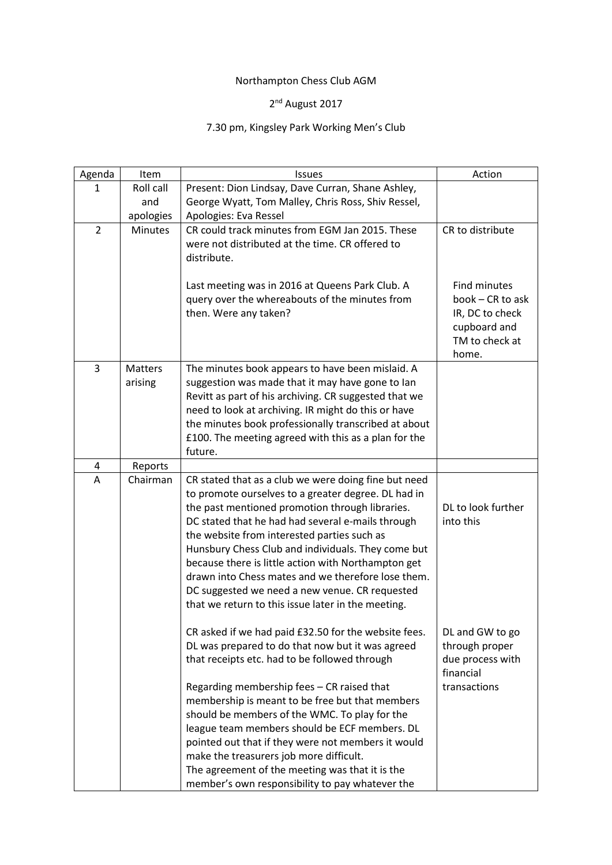## Northampton Chess Club AGM

## 2<sup>nd</sup> August 2017

## 7.30 pm, Kingsley Park Working Men's Club

| Agenda         | Item           | Issues                                                | Action                         |
|----------------|----------------|-------------------------------------------------------|--------------------------------|
| 1              | Roll call      | Present: Dion Lindsay, Dave Curran, Shane Ashley,     |                                |
|                | and            | George Wyatt, Tom Malley, Chris Ross, Shiv Ressel,    |                                |
|                | apologies      | Apologies: Eva Ressel                                 |                                |
| $\overline{2}$ | <b>Minutes</b> | CR could track minutes from EGM Jan 2015. These       | CR to distribute               |
|                |                | were not distributed at the time. CR offered to       |                                |
|                |                | distribute.                                           |                                |
|                |                |                                                       |                                |
|                |                | Last meeting was in 2016 at Queens Park Club. A       | Find minutes                   |
|                |                | query over the whereabouts of the minutes from        | book - CR to ask               |
|                |                | then. Were any taken?                                 | IR, DC to check                |
|                |                |                                                       | cupboard and<br>TM to check at |
|                |                |                                                       | home.                          |
| 3              | <b>Matters</b> | The minutes book appears to have been mislaid. A      |                                |
|                | arising        | suggestion was made that it may have gone to lan      |                                |
|                |                | Revitt as part of his archiving. CR suggested that we |                                |
|                |                | need to look at archiving. IR might do this or have   |                                |
|                |                | the minutes book professionally transcribed at about  |                                |
|                |                | £100. The meeting agreed with this as a plan for the  |                                |
|                |                | future.                                               |                                |
| 4              | Reports        |                                                       |                                |
| Α              | Chairman       | CR stated that as a club we were doing fine but need  |                                |
|                |                | to promote ourselves to a greater degree. DL had in   |                                |
|                |                | the past mentioned promotion through libraries.       | DL to look further             |
|                |                | DC stated that he had had several e-mails through     | into this                      |
|                |                | the website from interested parties such as           |                                |
|                |                | Hunsbury Chess Club and individuals. They come but    |                                |
|                |                | because there is little action with Northampton get   |                                |
|                |                | drawn into Chess mates and we therefore lose them.    |                                |
|                |                | DC suggested we need a new venue. CR requested        |                                |
|                |                | that we return to this issue later in the meeting.    |                                |
|                |                | CR asked if we had paid £32.50 for the website fees.  | DL and GW to go                |
|                |                | DL was prepared to do that now but it was agreed      | through proper                 |
|                |                | that receipts etc. had to be followed through         | due process with               |
|                |                |                                                       | financial                      |
|                |                | Regarding membership fees - CR raised that            | transactions                   |
|                |                | membership is meant to be free but that members       |                                |
|                |                | should be members of the WMC. To play for the         |                                |
|                |                | league team members should be ECF members. DL         |                                |
|                |                | pointed out that if they were not members it would    |                                |
|                |                | make the treasurers job more difficult.               |                                |
|                |                | The agreement of the meeting was that it is the       |                                |
|                |                | member's own responsibility to pay whatever the       |                                |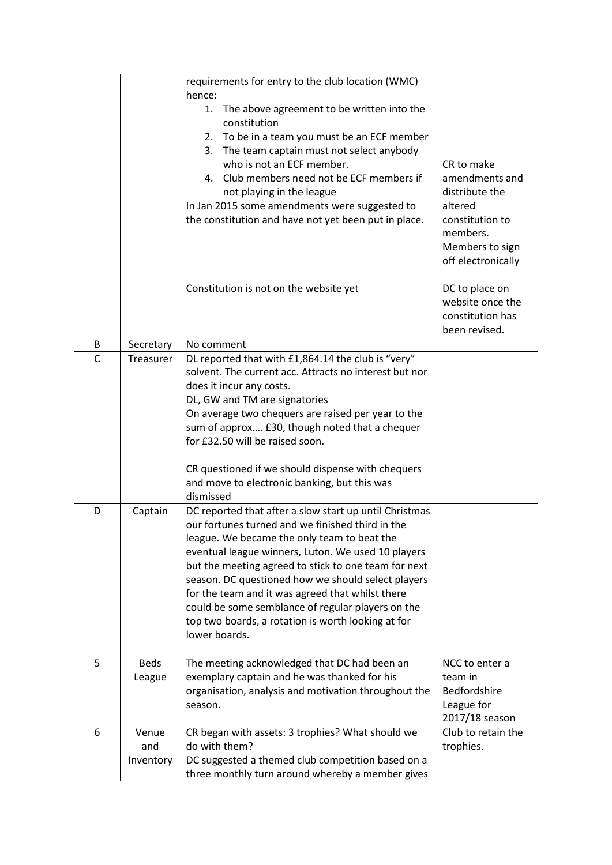|              |                           | requirements for entry to the club location (WMC)<br>hence:                                                                                                                                                                                                                                                                                                                                                                                                                                                   |                                                                                                                                   |
|--------------|---------------------------|---------------------------------------------------------------------------------------------------------------------------------------------------------------------------------------------------------------------------------------------------------------------------------------------------------------------------------------------------------------------------------------------------------------------------------------------------------------------------------------------------------------|-----------------------------------------------------------------------------------------------------------------------------------|
|              |                           | The above agreement to be written into the<br>1.<br>constitution<br>2. To be in a team you must be an ECF member<br>The team captain must not select anybody<br>3.<br>who is not an ECF member.<br>4. Club members need not be ECF members if<br>not playing in the league<br>In Jan 2015 some amendments were suggested to<br>the constitution and have not yet been put in place.                                                                                                                           | CR to make<br>amendments and<br>distribute the<br>altered<br>constitution to<br>members.<br>Members to sign<br>off electronically |
|              |                           | Constitution is not on the website yet                                                                                                                                                                                                                                                                                                                                                                                                                                                                        | DC to place on<br>website once the<br>constitution has<br>been revised.                                                           |
| B            | Secretary                 | No comment                                                                                                                                                                                                                                                                                                                                                                                                                                                                                                    |                                                                                                                                   |
| $\mathsf{C}$ | Treasurer                 | DL reported that with £1,864.14 the club is "very"<br>solvent. The current acc. Attracts no interest but nor<br>does it incur any costs.<br>DL, GW and TM are signatories<br>On average two chequers are raised per year to the<br>sum of approx £30, though noted that a chequer<br>for £32.50 will be raised soon.<br>CR questioned if we should dispense with chequers<br>and move to electronic banking, but this was<br>dismissed                                                                        |                                                                                                                                   |
| D            | Captain                   | DC reported that after a slow start up until Christmas<br>our fortunes turned and we finished third in the<br>league. We became the only team to beat the<br>eventual league winners, Luton. We used 10 players<br>but the meeting agreed to stick to one team for next<br>season. DC questioned how we should select players<br>for the team and it was agreed that whilst there<br>could be some semblance of regular players on the<br>top two boards, a rotation is worth looking at for<br>lower boards. |                                                                                                                                   |
| 5            | <b>Beds</b><br>League     | The meeting acknowledged that DC had been an<br>exemplary captain and he was thanked for his<br>organisation, analysis and motivation throughout the<br>season.                                                                                                                                                                                                                                                                                                                                               | NCC to enter a<br>team in<br>Bedfordshire<br>League for<br>2017/18 season                                                         |
| 6            | Venue<br>and<br>Inventory | CR began with assets: 3 trophies? What should we<br>do with them?<br>DC suggested a themed club competition based on a<br>three monthly turn around whereby a member gives                                                                                                                                                                                                                                                                                                                                    | Club to retain the<br>trophies.                                                                                                   |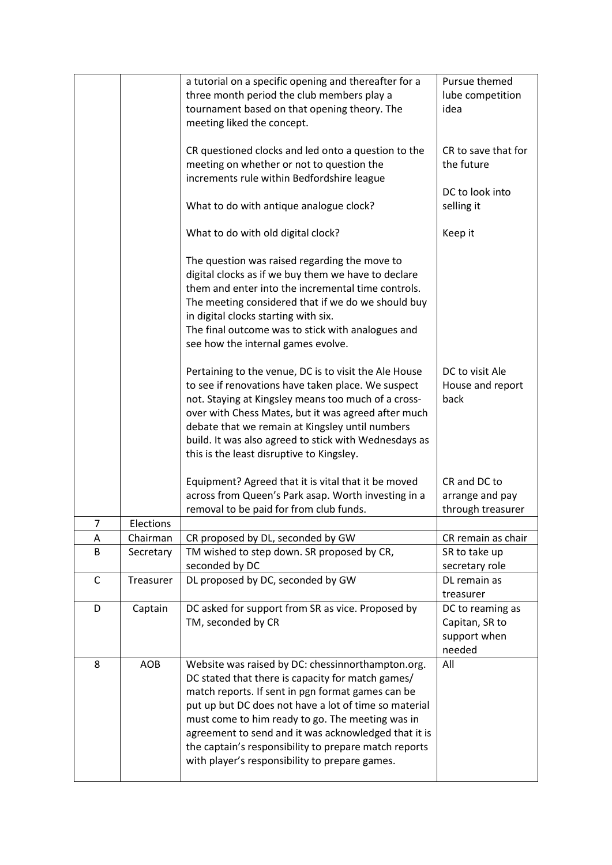|             |           | a tutorial on a specific opening and thereafter for a<br>three month period the club members play a<br>tournament based on that opening theory. The<br>meeting liked the concept.                                                                                                                                                                                                                                                           | Pursue themed<br>lube competition<br>idea                    |
|-------------|-----------|---------------------------------------------------------------------------------------------------------------------------------------------------------------------------------------------------------------------------------------------------------------------------------------------------------------------------------------------------------------------------------------------------------------------------------------------|--------------------------------------------------------------|
|             |           | CR questioned clocks and led onto a question to the<br>meeting on whether or not to question the<br>increments rule within Bedfordshire league                                                                                                                                                                                                                                                                                              | CR to save that for<br>the future<br>DC to look into         |
|             |           | What to do with antique analogue clock?                                                                                                                                                                                                                                                                                                                                                                                                     | selling it                                                   |
|             |           | What to do with old digital clock?                                                                                                                                                                                                                                                                                                                                                                                                          | Keep it                                                      |
|             |           | The question was raised regarding the move to<br>digital clocks as if we buy them we have to declare<br>them and enter into the incremental time controls.<br>The meeting considered that if we do we should buy<br>in digital clocks starting with six.<br>The final outcome was to stick with analogues and<br>see how the internal games evolve.                                                                                         |                                                              |
|             |           | Pertaining to the venue, DC is to visit the Ale House<br>to see if renovations have taken place. We suspect<br>not. Staying at Kingsley means too much of a cross-<br>over with Chess Mates, but it was agreed after much<br>debate that we remain at Kingsley until numbers<br>build. It was also agreed to stick with Wednesdays as<br>this is the least disruptive to Kingsley.                                                          | DC to visit Ale<br>House and report<br>back                  |
|             |           | Equipment? Agreed that it is vital that it be moved                                                                                                                                                                                                                                                                                                                                                                                         | CR and DC to                                                 |
|             |           | across from Queen's Park asap. Worth investing in a<br>removal to be paid for from club funds.                                                                                                                                                                                                                                                                                                                                              | arrange and pay<br>through treasurer                         |
| 7           | Elections |                                                                                                                                                                                                                                                                                                                                                                                                                                             |                                                              |
| Α           | Chairman  | CR proposed by DL, seconded by GW                                                                                                                                                                                                                                                                                                                                                                                                           | CR remain as chair                                           |
| B           | Secretary | TM wished to step down. SR proposed by CR,<br>seconded by DC                                                                                                                                                                                                                                                                                                                                                                                | SR to take up<br>secretary role                              |
| $\mathsf C$ | Treasurer | DL proposed by DC, seconded by GW                                                                                                                                                                                                                                                                                                                                                                                                           | DL remain as<br>treasurer                                    |
| D           | Captain   | DC asked for support from SR as vice. Proposed by<br>TM, seconded by CR                                                                                                                                                                                                                                                                                                                                                                     | DC to reaming as<br>Capitan, SR to<br>support when<br>needed |
| 8           | AOB       | Website was raised by DC: chessinnorthampton.org.<br>DC stated that there is capacity for match games/<br>match reports. If sent in pgn format games can be<br>put up but DC does not have a lot of time so material<br>must come to him ready to go. The meeting was in<br>agreement to send and it was acknowledged that it is<br>the captain's responsibility to prepare match reports<br>with player's responsibility to prepare games. | All                                                          |